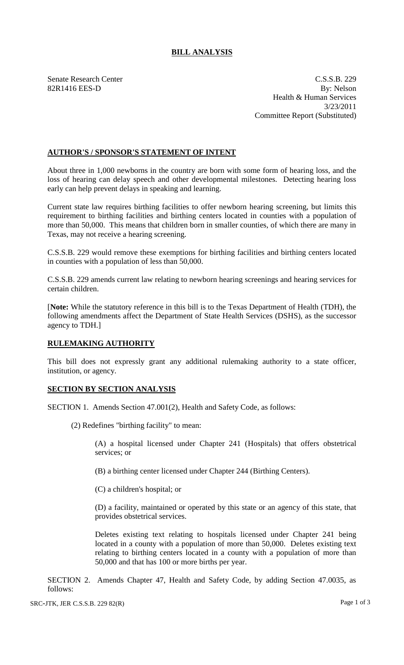## **BILL ANALYSIS**

Senate Research Center C.S.S.B. 229 82R1416 EES-D By: Nelson Health & Human Services 3/23/2011 Committee Report (Substituted)

## **AUTHOR'S / SPONSOR'S STATEMENT OF INTENT**

About three in 1,000 newborns in the country are born with some form of hearing loss, and the loss of hearing can delay speech and other developmental milestones. Detecting hearing loss early can help prevent delays in speaking and learning.

Current state law requires birthing facilities to offer newborn hearing screening, but limits this requirement to birthing facilities and birthing centers located in counties with a population of more than 50,000. This means that children born in smaller counties, of which there are many in Texas, may not receive a hearing screening.

C.S.S.B. 229 would remove these exemptions for birthing facilities and birthing centers located in counties with a population of less than 50,000.

C.S.S.B. 229 amends current law relating to newborn hearing screenings and hearing services for certain children.

[**Note:** While the statutory reference in this bill is to the Texas Department of Health (TDH), the following amendments affect the Department of State Health Services (DSHS), as the successor agency to TDH.]

## **RULEMAKING AUTHORITY**

This bill does not expressly grant any additional rulemaking authority to a state officer, institution, or agency.

## **SECTION BY SECTION ANALYSIS**

SECTION 1. Amends Section 47.001(2), Health and Safety Code, as follows:

(2) Redefines "birthing facility" to mean:

(A) a hospital licensed under Chapter 241 (Hospitals) that offers obstetrical services; or

(B) a birthing center licensed under Chapter 244 (Birthing Centers).

(C) a children's hospital; or

(D) a facility, maintained or operated by this state or an agency of this state, that provides obstetrical services.

Deletes existing text relating to hospitals licensed under Chapter 241 being located in a county with a population of more than 50,000. Deletes existing text relating to birthing centers located in a county with a population of more than 50,000 and that has 100 or more births per year.

SECTION 2. Amends Chapter 47, Health and Safety Code, by adding Section 47.0035, as follows: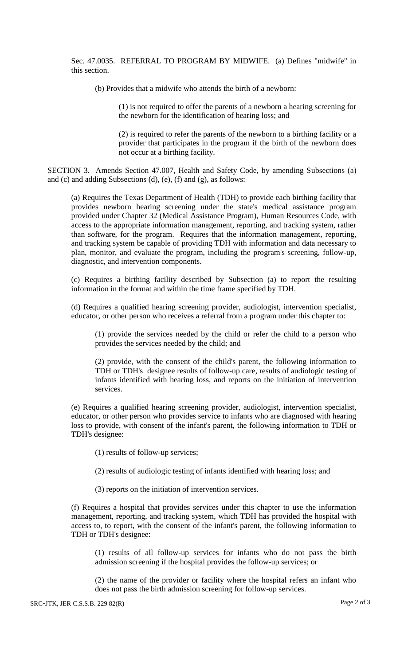Sec. 47.0035. REFERRAL TO PROGRAM BY MIDWIFE. (a) Defines "midwife" in this section.

(b) Provides that a midwife who attends the birth of a newborn:

(1) is not required to offer the parents of a newborn a hearing screening for the newborn for the identification of hearing loss; and

(2) is required to refer the parents of the newborn to a birthing facility or a provider that participates in the program if the birth of the newborn does not occur at a birthing facility.

SECTION 3. Amends Section 47.007, Health and Safety Code, by amending Subsections (a) and (c) and adding Subsections (d), (e), (f) and (g), as follows:

(a) Requires the Texas Department of Health (TDH) to provide each birthing facility that provides newborn hearing screening under the state's medical assistance program provided under Chapter 32 (Medical Assistance Program), Human Resources Code, with access to the appropriate information management, reporting, and tracking system, rather than software, for the program. Requires that the information management, reporting, and tracking system be capable of providing TDH with information and data necessary to plan, monitor, and evaluate the program, including the program's screening, follow-up, diagnostic, and intervention components.

(c) Requires a birthing facility described by Subsection (a) to report the resulting information in the format and within the time frame specified by TDH.

(d) Requires a qualified hearing screening provider, audiologist, intervention specialist, educator, or other person who receives a referral from a program under this chapter to:

(1) provide the services needed by the child or refer the child to a person who provides the services needed by the child; and

(2) provide, with the consent of the child's parent, the following information to TDH or TDH's designee results of follow-up care, results of audiologic testing of infants identified with hearing loss, and reports on the initiation of intervention services.

(e) Requires a qualified hearing screening provider, audiologist, intervention specialist, educator, or other person who provides service to infants who are diagnosed with hearing loss to provide, with consent of the infant's parent, the following information to TDH or TDH's designee:

(1) results of follow-up services;

(2) results of audiologic testing of infants identified with hearing loss; and

(3) reports on the initiation of intervention services.

(f) Requires a hospital that provides services under this chapter to use the information management, reporting, and tracking system, which TDH has provided the hospital with access to, to report, with the consent of the infant's parent, the following information to TDH or TDH's designee:

(1) results of all follow-up services for infants who do not pass the birth admission screening if the hospital provides the follow-up services; or

(2) the name of the provider or facility where the hospital refers an infant who does not pass the birth admission screening for follow-up services.